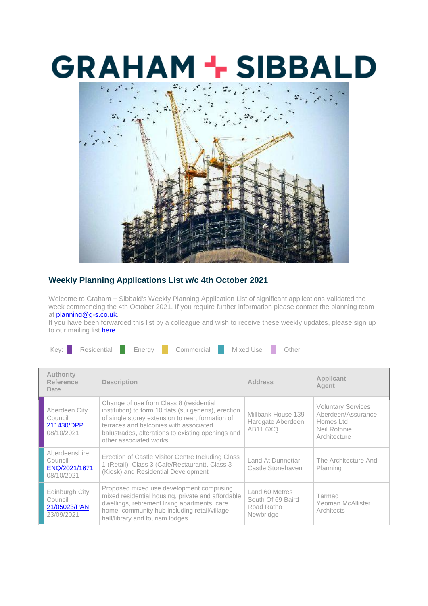## **GRAHAM + SIBBALD**



## **Weekly Planning Applications List w/c 4th October 2021**

Welcome to Graham + Sibbald's Weekly Planning Application List of significant applications validated the week commencing the 4th October 2021. If you require further information please contact the planning team at [planning@g-s.co.uk.](mailto:planning@g-s.co.uk)

If you have been forwarded this list by a colleague and wish to receive these weekly updates, please sign up to our mailing list **here**.

| Mixed Use<br>Residential<br>Kev: '<br>Commercial<br>Energy | Other |
|------------------------------------------------------------|-------|
|------------------------------------------------------------|-------|

| <b>Authority</b><br>Reference<br>Date                   | <b>Description</b>                                                                                                                                                                                                                                                             | <b>Address</b>                                                        | Applicant<br>Agent                                                                           |
|---------------------------------------------------------|--------------------------------------------------------------------------------------------------------------------------------------------------------------------------------------------------------------------------------------------------------------------------------|-----------------------------------------------------------------------|----------------------------------------------------------------------------------------------|
| Aberdeen City<br>Council<br>211430/DPP<br>08/10/2021    | Change of use from Class 8 (residential<br>institution) to form 10 flats (sui generis), erection<br>of single storey extension to rear, formation of<br>terraces and balconies with associated<br>balustrades, alterations to existing openings and<br>other associated works. | Millbank House 139<br>Hardgate Aberdeen<br><b>AB11 6XQ</b>            | <b>Voluntary Services</b><br>Aberdeen/Assurance<br>Homes Ltd<br>Neil Rothnie<br>Architecture |
| Aberdeenshire<br>Council<br>ENQ/2021/1671<br>08/10/2021 | Erection of Castle Visitor Centre Including Class<br>1 (Retail), Class 3 (Cafe/Restaurant), Class 3<br>(Kiosk) and Residential Development                                                                                                                                     | Land At Dunnottar<br>Castle Stonehaven                                | The Architecture And<br>Planning                                                             |
| Edinburgh City<br>Council<br>21/05023/PAN<br>23/09/2021 | Proposed mixed use development comprising<br>mixed residential housing, private and affordable<br>dwellings, retirement living apartments, care<br>home, community hub including retail/village<br>hall/library and tourism lodges                                             | Land 60 Metres<br>South Of 69 Baird<br>Road Ratho<br><b>Newbridge</b> | Tarmac<br>Yeoman McAllister<br>Architects                                                    |